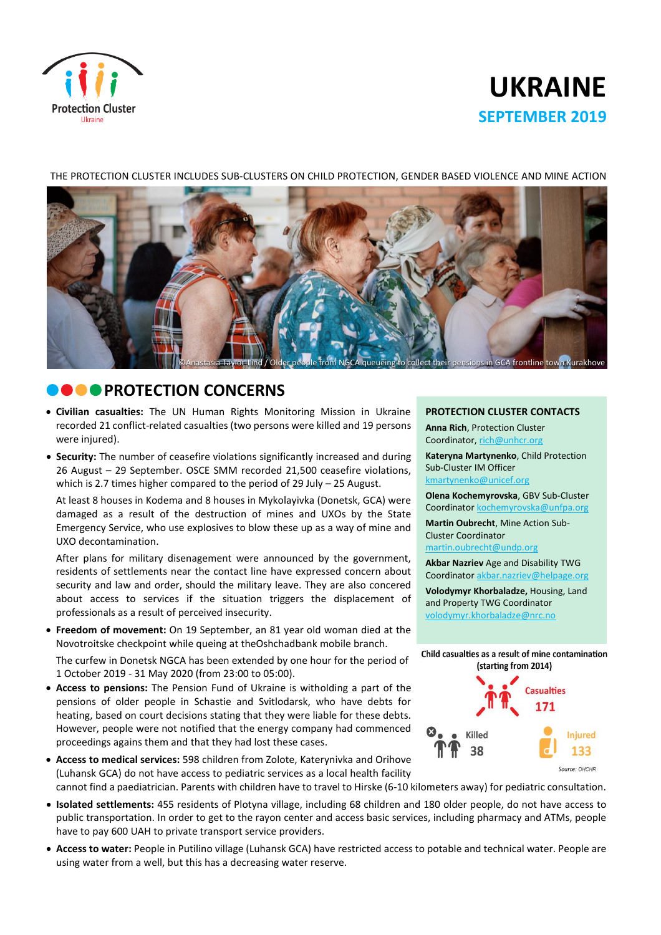

# **UKRAINE SEPTEMBER 2019**

# mensions in GCA frontline town

### THE PROTECTION CLUSTER INCLUDES SUB-CLUSTERS ON CHILD PROTECTION, GENDER BASED VIOLENCE AND MINE ACTION

# **COPROTECTION CONCERNS**

- **Civilian casualties:** The UN Human Rights Monitoring Mission in Ukraine recorded 21 conflict-related casualties (two persons were killed and 19 persons were injured).
- **Security:** The number of ceasefire violations significantly increased and during 26 August – 29 September. OSCE SMM recorded 21,500 ceasefire violations, which is 2.7 times higher compared to the period of 29 July – 25 August.

At least 8 houses in Kodema and 8 houses in Mykolayivka (Donetsk, GCA) were damaged as a result of the destruction of mines and UXOs by the State Emergency Service, who use explosives to blow these up as a way of mine and UXO decontamination.

After plans for military disenagement were announced by the government, residents of settlements near the contact line have expressed concern about security and law and order, should the military leave. They are also concered about access to services if the situation triggers the displacement of professionals as a result of perceived insecurity.

 **Freedom of movement:** On 19 September, an 81 year old woman died at the Novotroitske checkpoint while queing at theOshchadbank mobile branch.

The curfew in Donetsk NGCA has been extended by one hour for the period of 1 October 2019 - 31 May 2020 (from 23:00 to 05:00).

- **Access to pensions:** The Pension Fund of Ukraine is witholding a part of the pensions of older people in Schastie and Svitlodarsk, who have debts for heating, based on court decisions stating that they were liable for these debts. However, people were not notified that the energy company had commenced proceedings agains them and that they had lost these cases.
- **Access to medical services:** 598 children from Zolote, Katerynivka and Orihove (Luhansk GCA) do not have access to pediatric services as a local health facility cannot find a paediatrician. Parents with children have to travel to Hirske (6-10 kilometers away) for pediatric consultation.

## **Isolated settlements:** 455 residents of Plotyna village, including 68 children and 180 older people, do not have access to public transportation. In order to get to the rayon center and access basic services, including pharmacy and ATMs, people have to pay 600 UAH to private transport service providers.

 **Access to water:** People in Putilino village (Luhansk GCA) have restricted access to potable and technical water. People are using water from a well, but this has a decreasing water reserve.

### **PROTECTION CLUSTER CONTACTS**

**Anna Rich**, Protection Cluster Coordinator, [rich@unhcr.org](mailto:rich@unhcr.org)

**Kateryna Martynenko**, Child Protection Sub-Cluster IM Officer kmartynenko@unicef.org

**Olena Kochemyrovska**, GBV Sub-Cluster Coordinator [kochemyrovska@unfpa.org](mailto:kristesashvili@unfpa.org)

**Martin Oubrecht**, Mine Action Sub-Cluster Coordinator

[martin.oubrecht@undp.org](mailto:martin.oubrecht@undp.org)

**Akbar Nazriev** Age and Disability TWG Coordinator akbar.nazriev@helpage.org

**Volodymyr Khorbaladze,** Housing, Land and Property TWG Coordinator [volodymyr.khorbaladze@nrc.no](mailto:volodymyr.khorbaladze@nrc.no)

Child casualties as a result of mine contamination (starting from 2014)